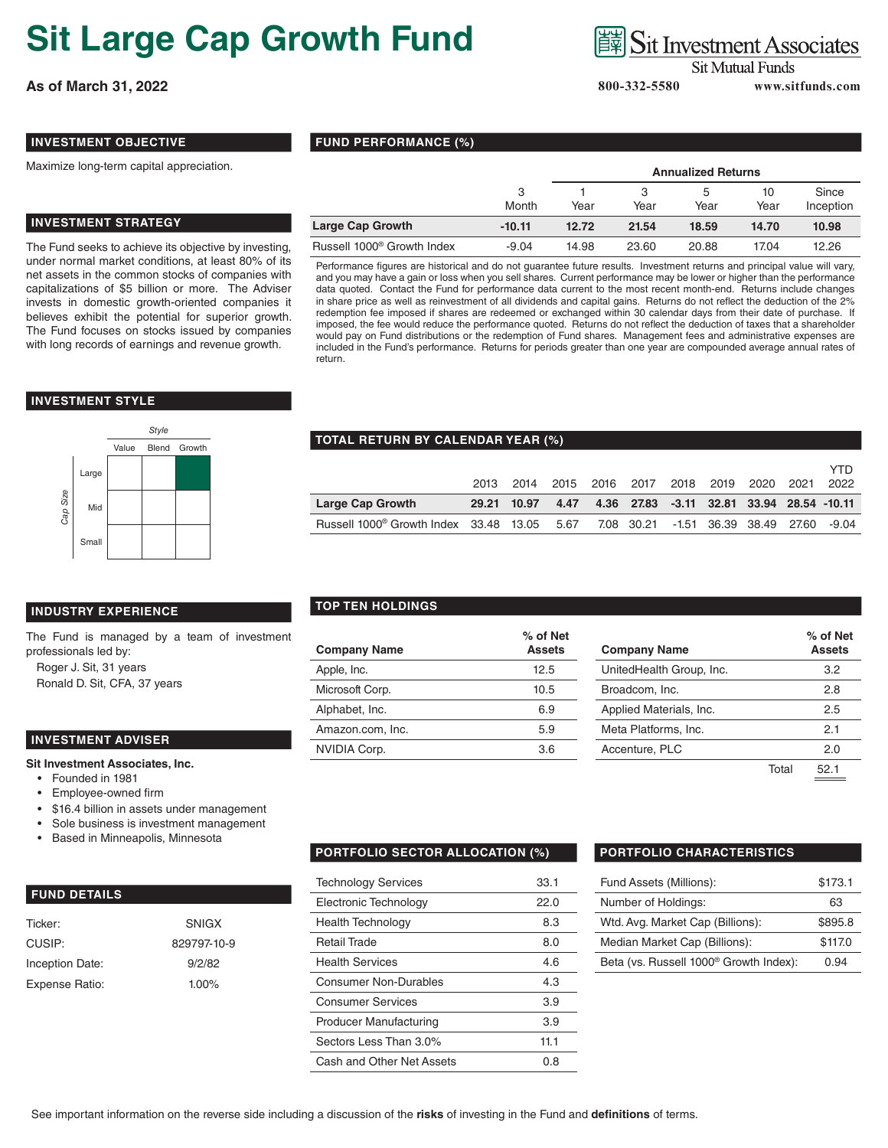# **Sit Large Cap Growth Fund**

**As of March 31, 2022 800-332-5580 www.sitfunds.com**

### **Sit Investment Associates**

**Annualized Returns**

5 Year

**Sit Mutual Funds** 

10 Year

3 Year

**Since** Inception

### **INVESTMENT OBJECTIVE**

Maximize long-term capital appreciation.

### **INVESTMENT STRATEGY**

The Fund seeks to achieve its objective by investing, under normal market conditions, at least 80% of its net assets in the common stocks of companies with capitalizations of \$5 billion or more. The Adviser invests in domestic growth-oriented companies it believes exhibit the potential for superior growth. The Fund focuses on stocks issued by companies with long records of earnings and revenue growth.

#### **INVESTMENT STYLE**



## **TOTAL RETURN BY CALENDAR YEAR (%)**

**FUND PERFORMANCE (%)**

|                                                                                            |             | 2013 2014 |      | 2015 2016 2017 2018 2019 2020 2021        |  |  | YTD<br>2022 |
|--------------------------------------------------------------------------------------------|-------------|-----------|------|-------------------------------------------|--|--|-------------|
| <b>Large Cap Growth</b>                                                                    | 29.21 10.97 |           | 4.47 | 4.36 27.83 -3.11 32.81 33.94 28.54 -10.11 |  |  |             |
| Russell 1000 <sup>®</sup> Growth Index 33.48 13.05 5.67 7.08 30.21 -1.51 36.39 38.49 27.60 |             |           |      |                                           |  |  | -9.04       |

3 Month

1 Year

**Large Cap Growth -10.11 12.72 21.54 18.59 14.70 10.98** Russell 1000® Growth Index -9.04 14.98 23.60 20.88 17.04 12.26 Performance figures are historical and do not guarantee future results. Investment returns and principal value will vary, and you may have a gain or loss when you sell shares. Current performance may be lower or higher than the performance data quoted. Contact the Fund for performance data current to the most recent month-end. Returns include changes in share price as well as reinvestment of all dividends and capital gains. Returns do not reflect the deduction of the 2% redemption fee imposed if shares are redeemed or exchanged within 30 calendar days from their date of purchase. If imposed, the fee would reduce the performance quoted. Returns do not reflect the deduction of taxes that a shareholder would pay on Fund distributions or the redemption of Fund shares. Management fees and administrative expenses are included in the Fund's performance. Returns for periods greater than one year are compounded average annual rates of

#### **INDUSTRY EXPERIENCE**

The Fund is managed by a team of investment professionals led by:

Roger J. Sit, 31 years Ronald D. Sit, CFA, 37 years

#### **INVESTMENT ADVISER**

**Sit Investment Associates, Inc.**

- Founded in 1981
- Employee-owned firm
- \$16.4 billion in assets under management
- Sole business is investment management
- Based in Minneapolis, Minnesota

#### **FUND DETAILS**

| Ticker:         | <b>SNIGX</b> |
|-----------------|--------------|
| CUSIP:          | 829797-10-9  |
| Inception Date: | 9/2/82       |
| Expense Ratio:  | $1.00\%$     |

#### **TOP TEN HOLDINGS**

return.

|                     | % of Net      |                          | $%$ of $N$   |  |
|---------------------|---------------|--------------------------|--------------|--|
| <b>Company Name</b> | <b>Assets</b> | <b>Company Name</b>      | <b>Asset</b> |  |
| Apple, Inc.         | 12.5          | UnitedHealth Group, Inc. | 3.2          |  |
| Microsoft Corp.     | 10.5          | Broadcom, Inc.           | 2.8          |  |
| Alphabet, Inc.      | 6.9           | Applied Materials, Inc.  | 2.5          |  |
| Amazon.com, Inc.    | 5.9           | Meta Platforms, Inc.     | 2.1          |  |
| NVIDIA Corp.        | 3.6           | Accenture, PLC           | 2.0          |  |
|                     |               |                          |              |  |

| % of Net<br>Assets | <b>Company Name</b>      |       | % of Net<br><b>Assets</b> |
|--------------------|--------------------------|-------|---------------------------|
| 12.5               | UnitedHealth Group, Inc. |       | 3.2                       |
| 10.5               | Broadcom, Inc.           |       | 2.8                       |
| 6.9                | Applied Materials, Inc.  |       | 2.5                       |
| 5.9                | Meta Platforms, Inc.     |       | 2.1                       |
| 3.6                | Accenture, PLC           |       | 2.0                       |
|                    |                          | Total | 52.1                      |

#### **PORTFOLIO SECTOR ALLOCATION (%) PORTFOLIO CHARACTERISTICS**

| <b>Technology Services</b>    | 33.1 |
|-------------------------------|------|
| Electronic Technology         | 22.O |
| <b>Health Technology</b>      | 8.3  |
| <b>Retail Trade</b>           | 8.0  |
| <b>Health Services</b>        | 4.6  |
| Consumer Non-Durables         | 4.3  |
| <b>Consumer Services</b>      | 3.9  |
| <b>Producer Manufacturing</b> | 3.9  |
| Sectors Less Than 3.0%        | 11.1 |
| Cash and Other Net Assets     | 0.8  |

| Fund Assets (Millions):                            | \$173.1 |
|----------------------------------------------------|---------|
| Number of Holdings:                                | 63      |
| Wtd. Avg. Market Cap (Billions):                   | \$895.8 |
| Median Market Cap (Billions):                      | \$117.0 |
| Beta (vs. Russell 1000 <sup>®</sup> Growth Index): | በ 94    |